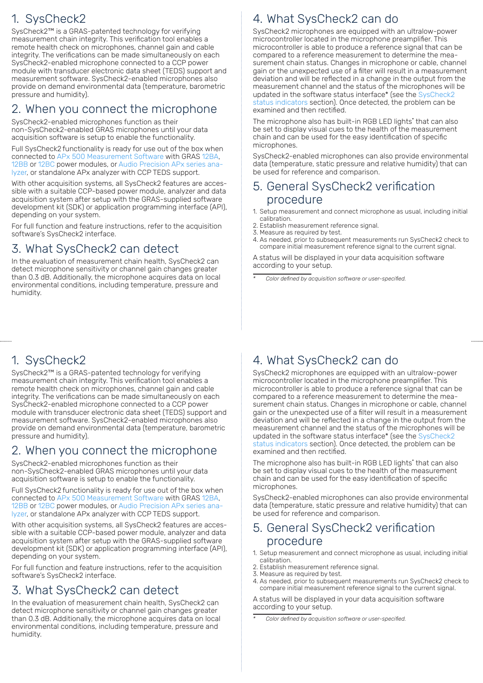## 1. SysCheck2

SysCheck2™ is a GRAS-patented technology for verifying measurement chain integrity. This verification tool enables a remote health check on microphones, channel gain and cable integrity. The verifications can be made simultaneously on each SysCheck2-enabled microphone connected to a CCP power module with transducer electronic data sheet (TEDS) support and measurement software. SysCheck2-enabled microphones also provide on demand environmental data (temperature, barometric pressure and humidity).

### 2. When you connect the microphone

SysCheck2-enabled microphones function as their non-SysCheck2-enabled GRAS microphones until your data acquisition software is setup to enable the functionality.

Full SysCheck2 functionality is ready for use out of the box when connected to APx 500 Measurement Software with GRAS 12BA, 12BB or 12BC power modules, or Audio Precision APx series analyzer, or standalone APx analyzer with CCP TEDS support.

With other acquisition systems, all SysCheck2 features are accessible with a suitable CCP-based power module, analyzer and data acquisition system after setup with the GRAS-supplied software development kit (SDK) or application programming interface (API), depending on your system.

For full function and feature instructions, refer to the acquisition software's SysCheck2 interface.

### 3. What SysCheck2 can detect

In the evaluation of measurement chain health, SysCheck2 can detect microphone sensitivity or channel gain changes greater than 0.3 dB. Additionally, the microphone acquires data on local environmental conditions, including temperature, pressure and humidity.

## 1. SysCheck2

SysCheck2™ is a GRAS-patented technology for verifying measurement chain integrity. This verification tool enables a remote health check on microphones, channel gain and cable integrity. The verifications can be made simultaneously on each SysCheck2-enabled microphone connected to a CCP power module with transducer electronic data sheet (TEDS) support and measurement software. SysCheck2-enabled microphones also provide on demand environmental data (temperature, barometric pressure and humidity).

### 2. When you connect the microphone

SysCheck2-enabled microphones function as their non-SysCheck2-enabled GRAS microphones until your data acquisition software is setup to enable the functionality.

Full SysCheck2 functionality is ready for use out of the box when connected to APx 500 Measurement Software with GRAS 12BA, 12BB or 12BC power modules, or Audio Precision APx series analyzer, or standalone APx analyzer with CCP TEDS support.

With other acquisition systems, all SysCheck2 features are accessible with a suitable CCP-based power module, analyzer and data acquisition system after setup with the GRAS-supplied software development kit (SDK) or application programming interface (API), depending on your system.

For full function and feature instructions, refer to the acquisition software's SysCheck2 interface.

## 3. What SysCheck2 can detect

In the evaluation of measurement chain health, SysCheck2 can detect microphone sensitivity or channel gain changes greater than 0.3 dB. Additionally, the microphone acquires data on local environmental conditions, including temperature, pressure and humidity.

# 4. What SysCheck2 can do

SysCheck2 microphones are equipped with an ultralow-power microcontroller located in the microphone preamplifier. This microcontroller is able to produce a reference signal that can be compared to a reference measurement to determine the measurement chain status. Changes in microphone or cable, channel gain or the unexpected use of a filter will result in a measurement deviation and will be reflected in a change in the output from the measurement channel and the status of the microphones will be updated in the software status interface\* (see the SysCheck2 status indicators section). Once detected, the problem can be examined and then rectified.

The microphone also has built-in RGB LED lights\* that can also be set to display visual cues to the health of the measurement chain and can be used for the easy identification of specific microphones.

SysCheck2-enabled microphones can also provide environmental data (temperature, static pressure and relative humidity) that can be used for reference and comparison.

### 5. General SysCheck2 verification procedure

- 1. Setup measurement and connect microphone as usual, including initial calibration.
- 2. Establish measurement reference signal.
- 3. Measure as required by test.
- 4. As needed, prior to subsequent measurements run SysCheck2 check to compare initial measurement reference signal to the current signal.

A status will be displayed in your data acquisition software according to your setup.

*\* Color defined by acquisition software or user-specified.*

# 4. What SysCheck2 can do

SysCheck2 microphones are equipped with an ultralow-power microcontroller located in the microphone preamplifier. This microcontroller is able to produce a reference signal that can be compared to a reference measurement to determine the measurement chain status. Changes in microphone or cable, channel gain or the unexpected use of a filter will result in a measurement deviation and will be reflected in a change in the output from the measurement channel and the status of the microphones will be updated in the software status interface\* (see the SysCheck2 status indicators section). Once detected, the problem can be examined and then rectified.

The microphone also has built-in RGB LED lights\* that can also be set to display visual cues to the health of the measurement chain and can be used for the easy identification of specific microphones.

SysCheck2-enabled microphones can also provide environmental data (temperature, static pressure and relative humidity) that can be used for reference and comparison.

#### 5. General SysCheck2 verification procedure

- 1. Setup measurement and connect microphone as usual, including initial calibration.
- 2. Establish measurement reference signal.
- 3. Measure as required by test.
- 4. As needed, prior to subsequent measurements run SysCheck2 check to compare initial measurement reference signal to the current signal.

A status will be displayed in your data acquisition software according to your setup.

*<sup>\*</sup>  Color defined by acquisition software or user-specified.*